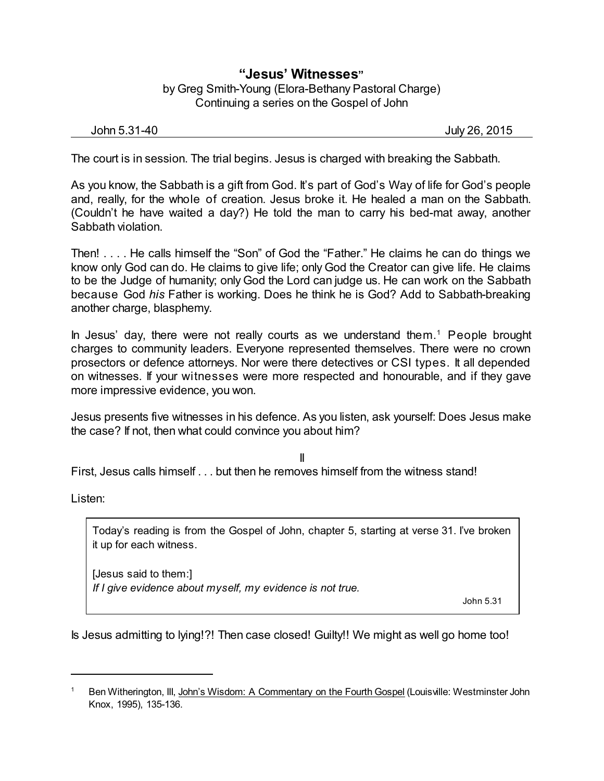## **"Jesus' Witnesses"** by Greg Smith-Young (Elora-Bethany Pastoral Charge) Continuing a series on the Gospel of John

| John 5.31-40 | July 26, 2015 |  |  |  |
|--------------|---------------|--|--|--|
|--------------|---------------|--|--|--|

The court is in session. The trial begins. Jesus is charged with breaking the Sabbath.

As you know, the Sabbath is a gift from God. It's part of God's Way of life for God's people and, really, for the whole of creation. Jesus broke it. He healed a man on the Sabbath. (Couldn't he have waited a day?) He told the man to carry his bed-mat away, another Sabbath violation.

Then! . . . . He calls himself the "Son" of God the "Father." He claims he can do things we know only God can do. He claims to give life; only God the Creator can give life. He claims to be the Judge of humanity; only God the Lord can judge us. He can work on the Sabbath because God *his* Father is working. Does he think he is God? Add to Sabbath-breaking another charge, blasphemy.

In Jesus' day, there were not really courts as we understand them. <sup>1</sup> People brought charges to community leaders. Everyone represented themselves. There were no crown prosectors or defence attorneys. Nor were there detectives or CSI types. It all depended on witnesses. If your witnesses were more respected and honourable, and if they gave more impressive evidence, you won.

Jesus presents five witnesses in his defence. As you listen, ask yourself: Does Jesus make the case? If not, then what could convince you about him?

II

First, Jesus calls himself . . . but then he removes himself from the witness stand!

Listen:

Today's reading is from the Gospel of John, chapter 5, starting at verse 31. I've broken it up for each witness.

[Jesus said to them:] *If I give evidence about myself, my evidence is not true.*

John 5.31

Is Jesus admitting to lying!?! Then case closed! Guilty!! We might as well go home too!

Ben Witherington, III, John's Wisdom: A Commentary on the Fourth Gospel (Louisville: Westminster John Knox, 1995), 135-136.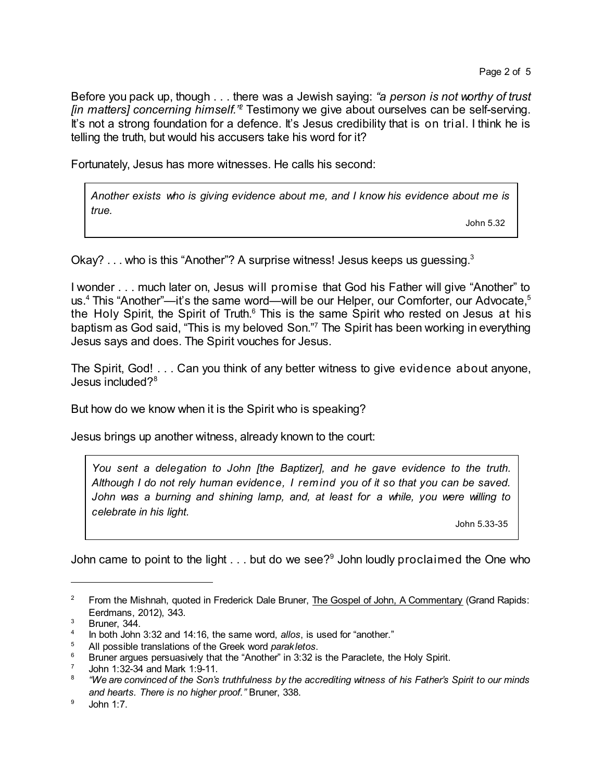Before you pack up, though . . . there was a Jewish saying: *"a person is not worthy of trust [in matters] concerning himself." <sup>2</sup>* Testimony we give about ourselves can be self-serving. It's not a strong foundation for a defence. It's Jesus credibility that is on trial. I think he is telling the truth, but would his accusers take his word for it?

Fortunately, Jesus has more witnesses. He calls his second:

*Another exists who is giving evidence about me, and I know his evidence about me is true.*

John 5.32

Okay? . . . who is this "Another"? A surprise witness! Jesus keeps us quessing.<sup>3</sup>

I wonder . . . much later on, Jesus will promise that God his Father will give "Another" to us.<sup>4</sup> This "Another"—it's the same word—will be our Helper, our Comforter, our Advocate,<sup>5</sup> the Holy Spirit, the Spirit of Truth.<sup>6</sup> This is the same Spirit who rested on Jesus at his baptism as God said, "This is my beloved Son." <sup>7</sup> The Spirit has been working in everything Jesus says and does. The Spirit vouches for Jesus.

The Spirit, God! . . . Can you think of any better witness to give evidence about anyone, Jesus included?<sup>8</sup>

But how do we know when it is the Spirit who is speaking?

Jesus brings up another witness, already known to the court:

*You sent a delegation to John [the Baptizer], and he gave evidence to the truth. Although I do not rely human evidence, I remind you of it so that you can be saved. John was a burning and shining lamp, and, at least for a while, you were willing to celebrate in his light.*

John 5.33-35

John came to point to the light  $\ldots$  but do we see?<sup>9</sup> John loudly proclaimed the One who

<sup>&</sup>lt;sup>2</sup> From the Mishnah, quoted in Frederick Dale Bruner, The Gospel of John, A Commentary (Grand Rapids: Eerdmans, 2012), 343.

<sup>3</sup> Bruner, 344.

<sup>4</sup> In both John 3:32 and 14:16, the same word, *allos*, is used for "another."

<sup>5</sup> All possible translations of the Greek word *parakletos*.

<sup>6</sup> Bruner argues persuasively that the "Another" in 3:32 is the Paraclete, the Holy Spirit.

<sup>7</sup> John 1:32-34 and Mark 1:9-11.

<sup>8</sup> "We are convinced of the Son's truthfulness by the accrediting witness of his Father's Spirit to our minds *and hearts. There is no higher proof."* Bruner, 338.

 $9$  John 1:7.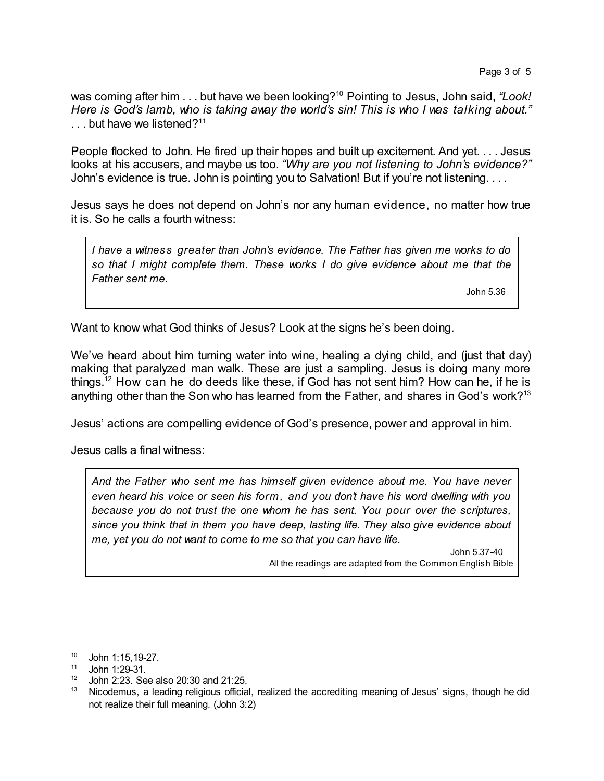was coming after him . . . but have we been looking?<sup>10</sup> Pointing to Jesus, John said, "Look! *Here is God's lamb, who is taking away the world's sin! This is who I was talking about."*  $\ldots$  but have we listened?<sup>11</sup>

People flocked to John. He fired up their hopes and built up excitement. And yet. . . . Jesus looks at his accusers, and maybe us too. *"Why are you not listening to John's evidence?"* John's evidence is true. John is pointing you to Salvation! But if you're not listening....

Jesus says he does not depend on John's nor any human evidence, no matter how true it is. So he calls a fourth witness:

*I have a witness greater than John's evidence. The Father has given me works to do so that I might complete them. These works I do give evidence about me that the Father sent me.*

John 5.36

Want to know what God thinks of Jesus? Look at the signs he's been doing.

We've heard about him turning water into wine, healing a dying child, and (just that day) making that paralyzed man walk. These are just a sampling. Jesus is doing many more things.<sup>12</sup> How can he do deeds like these, if God has not sent him? How can he, if he is anything other than the Son who has learned from the Father, and shares in God's work?<sup>13</sup>

Jesus' actions are compelling evidence of God's presence, power and approval in him.

Jesus calls a final witness:

*And the Father who sent me has himself given evidence about me. You have never even heard his voice or seen his form, and you don't have his word dwelling with you because you do not trust the one whom he has sent. You pour over the scriptures, since you think that in them you have deep, lasting life. They also give evidence about me, yet you do not want to come to me so that you can have life.*

> John 5.37-40 All the readings are adapted from the Common English Bible

<sup>10</sup> John 1:15,19-27.

<sup>11</sup> John 1:29-31.

<sup>12</sup> John 2:23. See also 20:30 and 21:25.

<sup>&</sup>lt;sup>13</sup> Nicodemus, a leading religious official, realized the accrediting meaning of Jesus' signs, though he did not realize their full meaning. (John 3:2)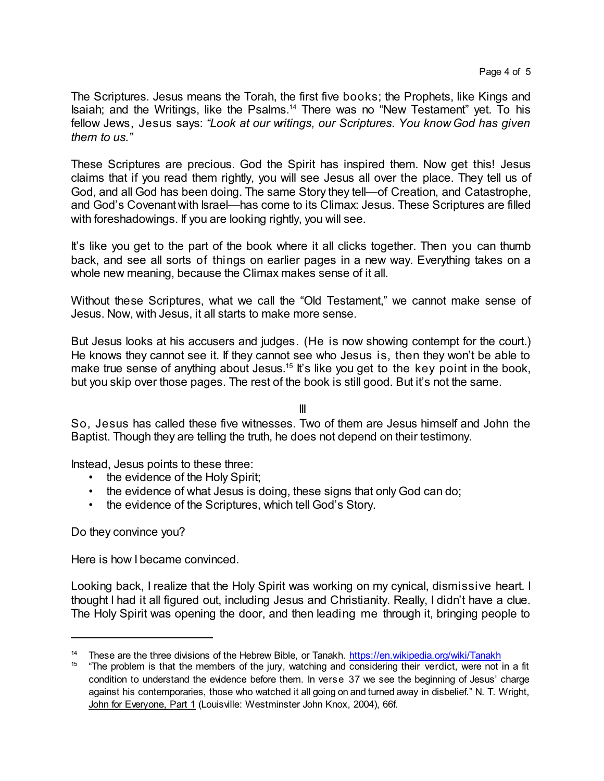The Scriptures. Jesus means the Torah, the first five books; the Prophets, like Kings and Isaiah; and the Writings, like the Psalms.<sup>14</sup> There was no "New Testament" yet. To his fellow Jews, Jesus says: *"Look at our writings, our Scriptures. You know God has given them to us."*

These Scriptures are precious. God the Spirit has inspired them. Now get this! Jesus claims that if you read them rightly, you will see Jesus all over the place. They tell us of God, and all God has been doing. The same Story they tell—of Creation, and Catastrophe, and God's Covenant with Israel—has come to its Climax: Jesus. These Scriptures are filled with foreshadowings. If you are looking rightly, you will see.

It's like you get to the part of the book where it all clicks together. Then you can thumb back, and see all sorts of things on earlier pages in a new way. Everything takes on a whole new meaning, because the Climax makes sense of it all.

Without these Scriptures, what we call the "Old Testament," we cannot make sense of Jesus. Now, with Jesus, it all starts to make more sense.

But Jesus looks at his accusers and judges. (He is now showing contempt for the court.) He knows they cannot see it. If they cannot see who Jesus is, then they won't be able to make true sense of anything about Jesus.<sup>15</sup> It's like you get to the key point in the book, but you skip over those pages. The rest of the book is still good. But it's not the same.

III

So, Jesus has called these five witnesses. Two of them are Jesus himself and John the Baptist. Though they are telling the truth, he does not depend on their testimony.

Instead, Jesus points to these three:

- the evidence of the Holy Spirit;
- the evidence of what Jesus is doing, these signs that only God can do;
- the evidence of the Scriptures, which tell God's Story.

Do they convince you?

Here is how I became convinced.

Looking back, I realize that the Holy Spirit was working on my cynical, dismissive heart. I thought I had it all figured out, including Jesus and Christianity. Really, I didn't have a clue. The Holy Spirit was opening the door, and then leading me through it, bringing people to

<sup>&</sup>lt;sup>14</sup> These are the three divisions of the Hebrew Bible, or Tanakh. <https://en.wikipedia.org/wiki/Tanakh>

<sup>&</sup>lt;sup>15</sup> "The problem is that the members of the jury, watching and considering their verdict, were not in a fit condition to understand the evidence before them. In verse 37 we see the beginning of Jesus' charge against his contemporaries, those who watched it all going on and turned away in disbelief." N. T. Wright, John for Everyone, Part 1 (Louisville: Westminster John Knox, 2004), 66f.